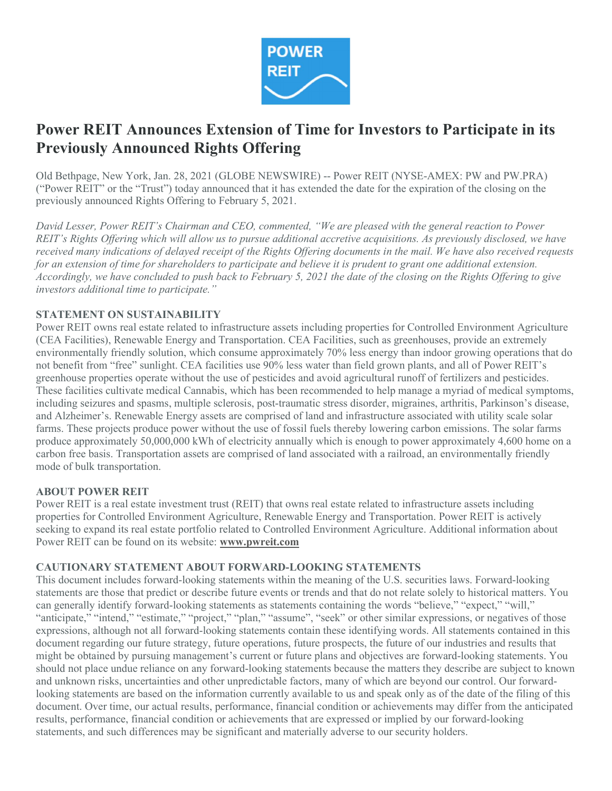

# Power REIT Announces Extension of Time for Investors to Participate in its Previously Announced Rights Offering

Old Bethpage, New York, Jan. 28, 2021 (GLOBE NEWSWIRE) -- Power REIT (NYSE-AMEX: PW and PW.PRA) ("Power REIT" or the "Trust") today announced that it has extended the date for the expiration of the closing on the previously announced Rights Offering to February 5, 2021.

David Lesser, Power REIT's Chairman and CEO, commented, "We are pleased with the general reaction to Power REIT's Rights Offering which will allow us to pursue additional accretive acquisitions. As previously disclosed, we have received many indications of delayed receipt of the Rights Offering documents in the mail. We have also received requests for an extension of time for shareholders to participate and believe it is prudent to grant one additional extension. Accordingly, we have concluded to push back to February 5, 2021 the date of the closing on the Rights Offering to give investors additional time to participate."

### STATEMENT ON SUSTAINABILITY

Power REIT owns real estate related to infrastructure assets including properties for Controlled Environment Agriculture (CEA Facilities), Renewable Energy and Transportation. CEA Facilities, such as greenhouses, provide an extremely environmentally friendly solution, which consume approximately 70% less energy than indoor growing operations that do not benefit from "free" sunlight. CEA facilities use 90% less water than field grown plants, and all of Power REIT's greenhouse properties operate without the use of pesticides and avoid agricultural runoff of fertilizers and pesticides. These facilities cultivate medical Cannabis, which has been recommended to help manage a myriad of medical symptoms, including seizures and spasms, multiple sclerosis, post-traumatic stress disorder, migraines, arthritis, Parkinson's disease, and Alzheimer's. Renewable Energy assets are comprised of land and infrastructure associated with utility scale solar farms. These projects produce power without the use of fossil fuels thereby lowering carbon emissions. The solar farms produce approximately 50,000,000 kWh of electricity annually which is enough to power approximately 4,600 home on a carbon free basis. Transportation assets are comprised of land associated with a railroad, an environmentally friendly mode of bulk transportation.

#### ABOUT POWER REIT

Power REIT is a real estate investment trust (REIT) that owns real estate related to infrastructure assets including properties for Controlled Environment Agriculture, Renewable Energy and Transportation. Power REIT is actively seeking to expand its real estate portfolio related to Controlled Environment Agriculture. Additional information about Power REIT can be found on its website: www.pwreit.com

#### CAUTIONARY STATEMENT ABOUT FORWARD-LOOKING STATEMENTS

This document includes forward-looking statements within the meaning of the U.S. securities laws. Forward-looking statements are those that predict or describe future events or trends and that do not relate solely to historical matters. You can generally identify forward-looking statements as statements containing the words "believe," "expect," "will," "anticipate," "intend," "estimate," "project," "plan," "assume", "seek" or other similar expressions, or negatives of those expressions, although not all forward-looking statements contain these identifying words. All statements contained in this document regarding our future strategy, future operations, future prospects, the future of our industries and results that might be obtained by pursuing management's current or future plans and objectives are forward-looking statements. You should not place undue reliance on any forward-looking statements because the matters they describe are subject to known and unknown risks, uncertainties and other unpredictable factors, many of which are beyond our control. Our forwardlooking statements are based on the information currently available to us and speak only as of the date of the filing of this document. Over time, our actual results, performance, financial condition or achievements may differ from the anticipated results, performance, financial condition or achievements that are expressed or implied by our forward-looking statements, and such differences may be significant and materially adverse to our security holders.